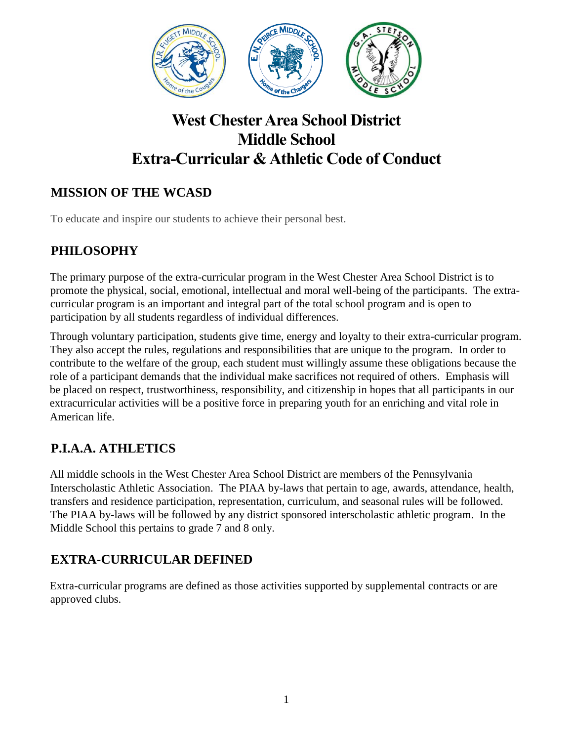

# **West Chester Area School District Middle School Extra-Curricular & Athletic Code of Conduct**

# **MISSION OF THE WCASD**

To educate and inspire our students to achieve their personal best.

# **PHILOSOPHY**

The primary purpose of the extra-curricular program in the West Chester Area School District is to promote the physical, social, emotional, intellectual and moral well-being of the participants. The extracurricular program is an important and integral part of the total school program and is open to participation by all students regardless of individual differences.

Through voluntary participation, students give time, energy and loyalty to their extra-curricular program. They also accept the rules, regulations and responsibilities that are unique to the program. In order to contribute to the welfare of the group, each student must willingly assume these obligations because the role of a participant demands that the individual make sacrifices not required of others. Emphasis will be placed on respect, trustworthiness, responsibility, and citizenship in hopes that all participants in our extracurricular activities will be a positive force in preparing youth for an enriching and vital role in American life.

## **P.I.A.A. ATHLETICS**

All middle schools in the West Chester Area School District are members of the Pennsylvania Interscholastic Athletic Association. The PIAA by-laws that pertain to age, awards, attendance, health, transfers and residence participation, representation, curriculum, and seasonal rules will be followed. The PIAA by-laws will be followed by any district sponsored interscholastic athletic program. In the Middle School this pertains to grade 7 and 8 only.

## **EXTRA-CURRICULAR DEFINED**

Extra-curricular programs are defined as those activities supported by supplemental contracts or are approved clubs.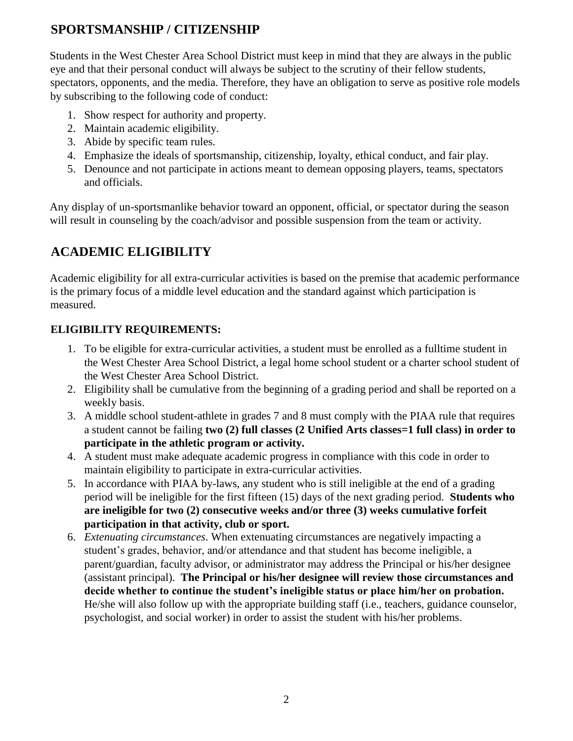## **SPORTSMANSHIP / CITIZENSHIP**

Students in the West Chester Area School District must keep in mind that they are always in the public eye and that their personal conduct will always be subject to the scrutiny of their fellow students, spectators, opponents, and the media. Therefore, they have an obligation to serve as positive role models by subscribing to the following code of conduct:

- 1. Show respect for authority and property.
- 2. Maintain academic eligibility.
- 3. Abide by specific team rules.
- 4. Emphasize the ideals of sportsmanship, citizenship, loyalty, ethical conduct, and fair play.
- 5. Denounce and not participate in actions meant to demean opposing players, teams, spectators and officials.

Any display of un-sportsmanlike behavior toward an opponent, official, or spectator during the season will result in counseling by the coach/advisor and possible suspension from the team or activity.

# **ACADEMIC ELIGIBILITY**

Academic eligibility for all extra-curricular activities is based on the premise that academic performance is the primary focus of a middle level education and the standard against which participation is measured.

#### **ELIGIBILITY REQUIREMENTS:**

- 1. To be eligible for extra-curricular activities, a student must be enrolled as a fulltime student in the West Chester Area School District, a legal home school student or a charter school student of the West Chester Area School District.
- 2. Eligibility shall be cumulative from the beginning of a grading period and shall be reported on a weekly basis.
- 3. A middle school student-athlete in grades 7 and 8 must comply with the PIAA rule that requires a student cannot be failing **two (2) full classes (2 Unified Arts classes=1 full class) in order to participate in the athletic program or activity.**
- 4. A student must make adequate academic progress in compliance with this code in order to maintain eligibility to participate in extra-curricular activities.
- 5. In accordance with PIAA by-laws, any student who is still ineligible at the end of a grading period will be ineligible for the first fifteen (15) days of the next grading period. **Students who are ineligible for two (2) consecutive weeks and/or three (3) weeks cumulative forfeit participation in that activity, club or sport.**
- 6. *Extenuating circumstances*. When extenuating circumstances are negatively impacting a student's grades, behavior, and/or attendance and that student has become ineligible, a parent/guardian, faculty advisor, or administrator may address the Principal or his/her designee (assistant principal). **The Principal or his/her designee will review those circumstances and decide whether to continue the student's ineligible status or place him/her on probation.** He/she will also follow up with the appropriate building staff (i.e., teachers, guidance counselor, psychologist, and social worker) in order to assist the student with his/her problems.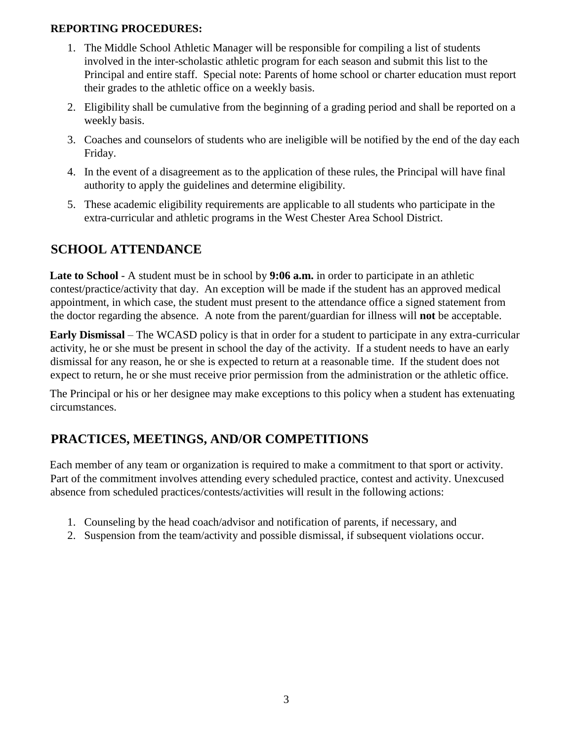#### **REPORTING PROCEDURES:**

- 1. The Middle School Athletic Manager will be responsible for compiling a list of students involved in the inter-scholastic athletic program for each season and submit this list to the Principal and entire staff. Special note: Parents of home school or charter education must report their grades to the athletic office on a weekly basis.
- 2. Eligibility shall be cumulative from the beginning of a grading period and shall be reported on a weekly basis.
- 3. Coaches and counselors of students who are ineligible will be notified by the end of the day each Friday.
- 4. In the event of a disagreement as to the application of these rules, the Principal will have final authority to apply the guidelines and determine eligibility.
- 5. These academic eligibility requirements are applicable to all students who participate in the extra-curricular and athletic programs in the West Chester Area School District.

#### **SCHOOL ATTENDANCE**

**Late to School** - A student must be in school by **9:06 a.m.** in order to participate in an athletic contest/practice/activity that day. An exception will be made if the student has an approved medical appointment, in which case, the student must present to the attendance office a signed statement from the doctor regarding the absence. A note from the parent/guardian for illness will **not** be acceptable.

**Early Dismissal** – The WCASD policy is that in order for a student to participate in any extra-curricular activity, he or she must be present in school the day of the activity. If a student needs to have an early dismissal for any reason, he or she is expected to return at a reasonable time. If the student does not expect to return, he or she must receive prior permission from the administration or the athletic office.

The Principal or his or her designee may make exceptions to this policy when a student has extenuating circumstances.

## **PRACTICES, MEETINGS, AND/OR COMPETITIONS**

Each member of any team or organization is required to make a commitment to that sport or activity. Part of the commitment involves attending every scheduled practice, contest and activity. Unexcused absence from scheduled practices/contests/activities will result in the following actions:

- 1. Counseling by the head coach/advisor and notification of parents, if necessary, and
- 2. Suspension from the team/activity and possible dismissal, if subsequent violations occur.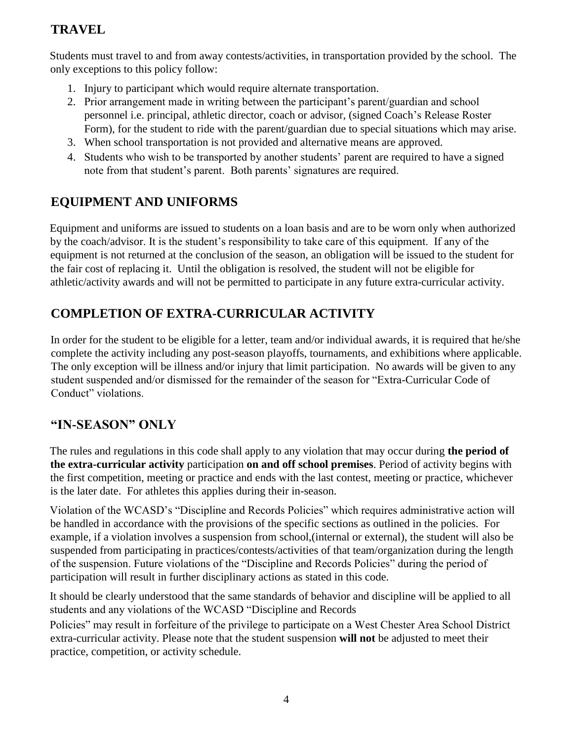# **TRAVEL**

Students must travel to and from away contests/activities, in transportation provided by the school. The only exceptions to this policy follow:

- 1. Injury to participant which would require alternate transportation.
- 2. Prior arrangement made in writing between the participant's parent/guardian and school personnel i.e. principal, athletic director, coach or advisor, (signed Coach's Release Roster Form), for the student to ride with the parent/guardian due to special situations which may arise.
- 3. When school transportation is not provided and alternative means are approved.
- 4. Students who wish to be transported by another students' parent are required to have a signed note from that student's parent. Both parents' signatures are required.

## **EQUIPMENT AND UNIFORMS**

Equipment and uniforms are issued to students on a loan basis and are to be worn only when authorized by the coach/advisor. It is the student's responsibility to take care of this equipment. If any of the equipment is not returned at the conclusion of the season, an obligation will be issued to the student for the fair cost of replacing it. Until the obligation is resolved, the student will not be eligible for athletic/activity awards and will not be permitted to participate in any future extra-curricular activity.

# **COMPLETION OF EXTRA-CURRICULAR ACTIVITY**

In order for the student to be eligible for a letter, team and/or individual awards, it is required that he/she complete the activity including any post-season playoffs, tournaments, and exhibitions where applicable. The only exception will be illness and/or injury that limit participation. No awards will be given to any student suspended and/or dismissed for the remainder of the season for "Extra-Curricular Code of Conduct" violations.

#### **"IN-SEASON" ONLY**

The rules and regulations in this code shall apply to any violation that may occur during **the period of the extra-curricular activity** participation **on and off school premises**. Period of activity begins with the first competition, meeting or practice and ends with the last contest, meeting or practice, whichever is the later date. For athletes this applies during their in-season.

Violation of the WCASD's "Discipline and Records Policies" which requires administrative action will be handled in accordance with the provisions of the specific sections as outlined in the policies. For example, if a violation involves a suspension from school,(internal or external), the student will also be suspended from participating in practices/contests/activities of that team/organization during the length of the suspension. Future violations of the "Discipline and Records Policies" during the period of participation will result in further disciplinary actions as stated in this code.

It should be clearly understood that the same standards of behavior and discipline will be applied to all students and any violations of the WCASD "Discipline and Records

Policies" may result in forfeiture of the privilege to participate on a West Chester Area School District extra-curricular activity. Please note that the student suspension **will not** be adjusted to meet their practice, competition, or activity schedule.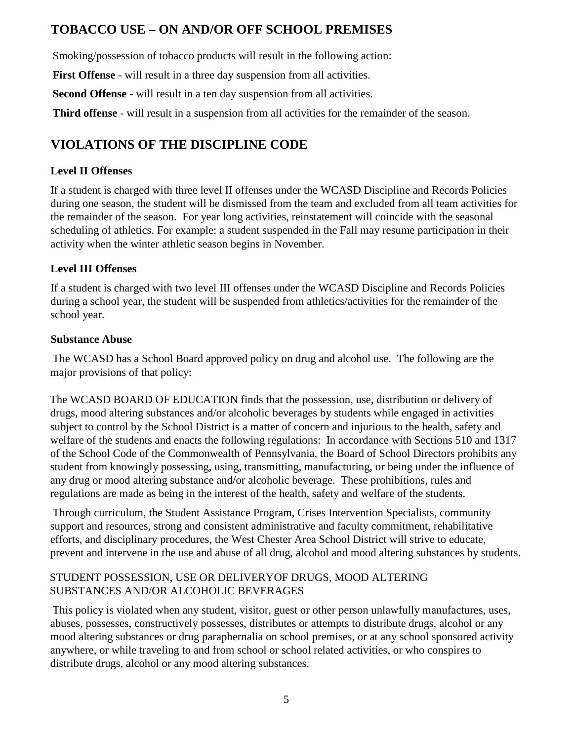### **TOBACCO USE – ON AND/OR OFF SCHOOL PREMISES**

Smoking/possession of tobacco products will result in the following action:

First Offense - will result in a three day suspension from all activities.

**Second Offense** - will result in a ten day suspension from all activities.

**Third offense** - will result in a suspension from all activities for the remainder of the season.

# **VIOLATIONS OF THE DISCIPLINE CODE**

#### **Level II Offenses**

If a student is charged with three level II offenses under the WCASD Discipline and Records Policies during one season, the student will be dismissed from the team and excluded from all team activities for the remainder of the season. For year long activities, reinstatement will coincide with the seasonal scheduling of athletics. For example: a student suspended in the Fall may resume participation in their activity when the winter athletic season begins in November.

#### **Level III Offenses**

If a student is charged with two level III offenses under the WCASD Discipline and Records Policies during a school year, the student will be suspended from athletics/activities for the remainder of the school year.

#### **Substance Abuse**

The WCASD has a School Board approved policy on drug and alcohol use. The following are the major provisions of that policy:

The WCASD BOARD OF EDUCATION finds that the possession, use, distribution or delivery of drugs, mood altering substances and/or alcoholic beverages by students while engaged in activities subject to control by the School District is a matter of concern and injurious to the health, safety and welfare of the students and enacts the following regulations: In accordance with Sections 510 and 1317 of the School Code of the Commonwealth of Pennsylvania, the Board of School Directors prohibits any student from knowingly possessing, using, transmitting, manufacturing, or being under the influence of any drug or mood altering substance and/or alcoholic beverage. These prohibitions, rules and regulations are made as being in the interest of the health, safety and welfare of the students.

Through curriculum, the Student Assistance Program, Crises Intervention Specialists, community support and resources, strong and consistent administrative and faculty commitment, rehabilitative efforts, and disciplinary procedures, the West Chester Area School District will strive to educate, prevent and intervene in the use and abuse of all drug, alcohol and mood altering substances by students.

#### STUDENT POSSESSION, USE OR DELIVERYOF DRUGS, MOOD ALTERING SUBSTANCES AND/OR ALCOHOLIC BEVERAGES

This policy is violated when any student, visitor, guest or other person unlawfully manufactures, uses, abuses, possesses, constructively possesses, distributes or attempts to distribute drugs, alcohol or any mood altering substances or drug paraphernalia on school premises, or at any school sponsored activity anywhere, or while traveling to and from school or school related activities, or who conspires to distribute drugs, alcohol or any mood altering substances.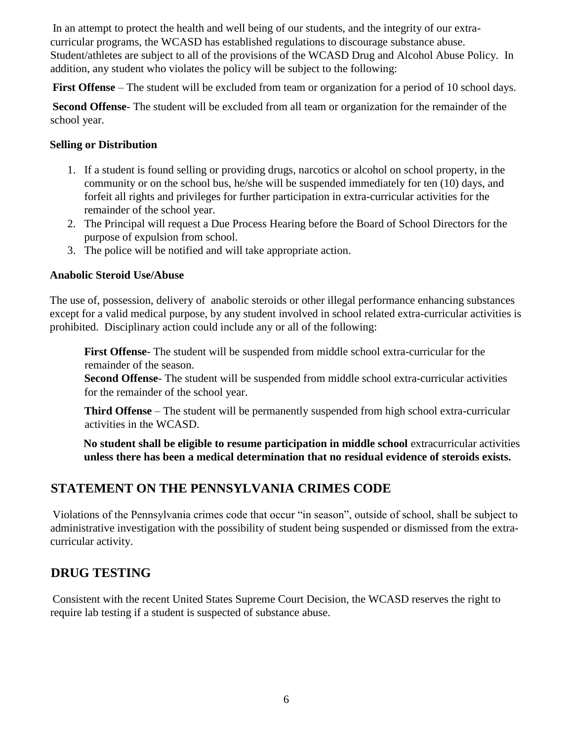In an attempt to protect the health and well being of our students, and the integrity of our extracurricular programs, the WCASD has established regulations to discourage substance abuse. Student/athletes are subject to all of the provisions of the WCASD Drug and Alcohol Abuse Policy. In addition, any student who violates the policy will be subject to the following:

**First Offense** – The student will be excluded from team or organization for a period of 10 school days.

**Second Offense**- The student will be excluded from all team or organization for the remainder of the school year.

#### **Selling or Distribution**

- 1. If a student is found selling or providing drugs, narcotics or alcohol on school property, in the community or on the school bus, he/she will be suspended immediately for ten (10) days, and forfeit all rights and privileges for further participation in extra-curricular activities for the remainder of the school year.
- 2. The Principal will request a Due Process Hearing before the Board of School Directors for the purpose of expulsion from school.
- 3. The police will be notified and will take appropriate action.

#### **Anabolic Steroid Use/Abuse**

The use of, possession, delivery of anabolic steroids or other illegal performance enhancing substances except for a valid medical purpose, by any student involved in school related extra-curricular activities is prohibited. Disciplinary action could include any or all of the following:

**First Offense**- The student will be suspended from middle school extra-curricular for the remainder of the season.

**Second Offense**- The student will be suspended from middle school extra-curricular activities for the remainder of the school year.

**Third Offense** – The student will be permanently suspended from high school extra-curricular activities in the WCASD.

**No student shall be eligible to resume participation in middle school** extracurricular activities **unless there has been a medical determination that no residual evidence of steroids exists.**

#### **STATEMENT ON THE PENNSYLVANIA CRIMES CODE**

Violations of the Pennsylvania crimes code that occur "in season", outside of school, shall be subject to administrative investigation with the possibility of student being suspended or dismissed from the extracurricular activity.

#### **DRUG TESTING**

Consistent with the recent United States Supreme Court Decision, the WCASD reserves the right to require lab testing if a student is suspected of substance abuse.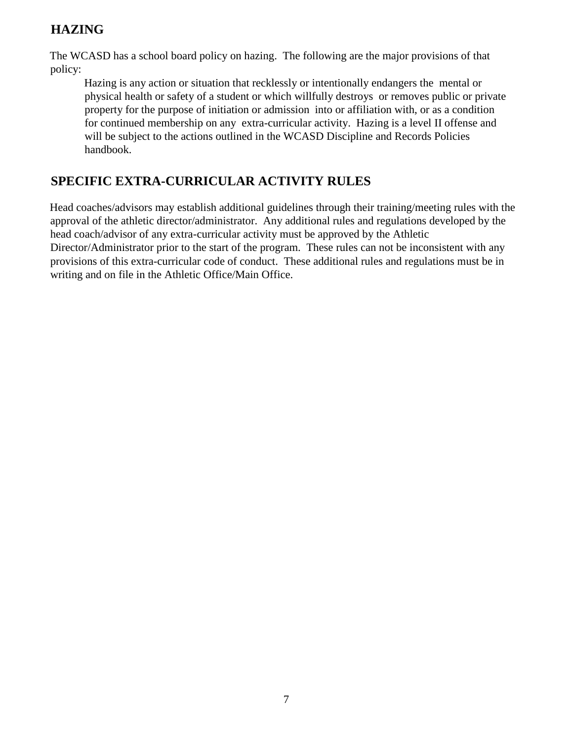#### **HAZING**

The WCASD has a school board policy on hazing. The following are the major provisions of that policy:

Hazing is any action or situation that recklessly or intentionally endangers the mental or physical health or safety of a student or which willfully destroys or removes public or private property for the purpose of initiation or admission into or affiliation with, or as a condition for continued membership on any extra-curricular activity. Hazing is a level II offense and will be subject to the actions outlined in the WCASD Discipline and Records Policies handbook.

## **SPECIFIC EXTRA-CURRICULAR ACTIVITY RULES**

Head coaches/advisors may establish additional guidelines through their training/meeting rules with the approval of the athletic director/administrator. Any additional rules and regulations developed by the head coach/advisor of any extra-curricular activity must be approved by the Athletic Director/Administrator prior to the start of the program. These rules can not be inconsistent with any provisions of this extra-curricular code of conduct. These additional rules and regulations must be in writing and on file in the Athletic Office/Main Office.